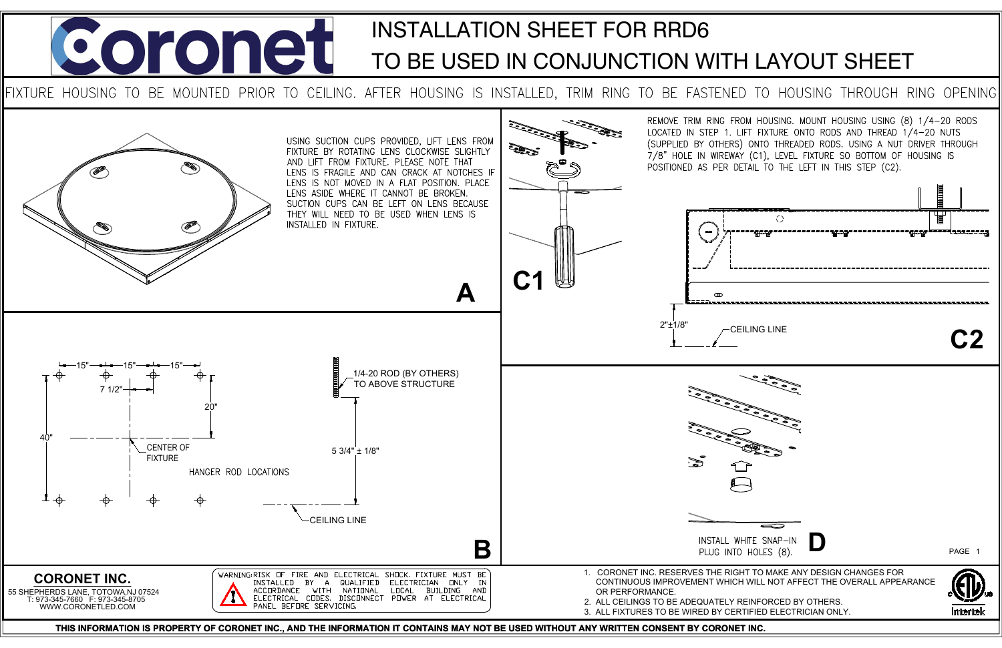